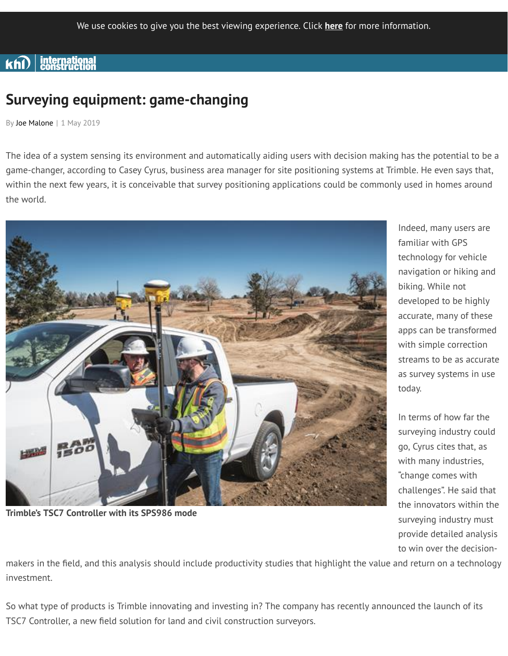# $\mathbf{k}\widehat{\mathsf{n}\mathsf{D}}$  international

# **Surveying equipment: game-changing**

By Joe Malone | 1 May 2019

The idea of a system sensing its environment and automatically aiding users with decision making has the potential to be a game-changer, according to Casey Cyrus, business area manager for site positioning systems at Trimble. He even says that, within the next few years, it is conceivable that survey positioning applications could be commonly used in homes around the world.



**Trimble's TSC7 Controller with its SPS986 mode**

Indeed, many users are familiar with GPS technology for vehicle navigation or hiking and biking. While not developed to be highly accurate, many of these apps can be transformed with simple correction streams to be as accurate as survey systems in use today.

In terms of how far the surveying industry could go, Cyrus cites that, as with many industries, "change comes with challenges". He said that the innovators within the surveying industry must provide detailed analysis to win over the decision-

makers in the field, and this analysis should include productivity studies that highlight the value and return on a technology investment.

So what type of products is Trimble innovating and investing in? The company has recently announced the launch of its TSC7 Controller, a new field solution for land and civil construction surveyors.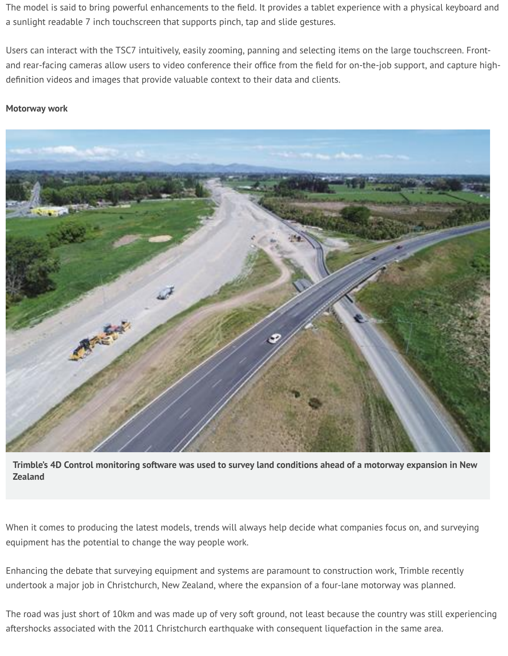The model is said to bring powerful enhancements to the field. It provides a tablet experience with a physical keyboard and a sunlight readable 7 inch touchscreen that supports pinch, tap and slide gestures.

Users can interact with the TSC7 intuitively, easily zooming, panning and selecting items on the large touchscreen. Frontand rear-facing cameras allow users to video conference their office from the field for on-the-job support, and capture highdefinition videos and images that provide valuable context to their data and clients.

#### **Motorway work**



Trimble's 4D Control monitoring software was used to survey land conditions ahead of a motorway expansion in New **Zealand**

When it comes to producing the latest models, trends will always help decide what companies focus on, and surveying equipment has the potential to change the way people work.

Enhancing the debate that surveying equipment and systems are paramount to construction work, Trimble recently undertook a major job in Christchurch, New Zealand, where the expansion of a four-lane motorway was planned.

The road was just short of 10km and was made up of very soft ground, not least because the country was still experiencing aftershocks associated with the 2011 Christchurch earthquake with consequent liquefaction in the same area.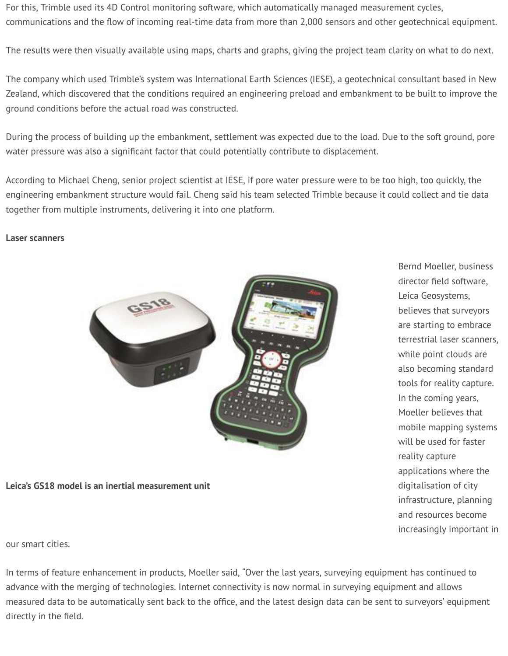For this, Trimble used its 4D Control monitoring software, which automatically managed measurement cycles, communications and the flow of incoming real-time data from more than 2,000 sensors and other geotechnical equipment.

The results were then visually available using maps, charts and graphs, giving the project team clarity on what to do next.

The company which used Trimble's system was International Earth Sciences (IESE), a geotechnical consultant based in New Zealand, which discovered that the conditions required an engineering preload and embankment to be built to improve the ground conditions before the actual road was constructed.

During the process of building up the embankment, settlement was expected due to the load. Due to the soft ground, pore water pressure was also a significant factor that could potentially contribute to displacement.

According to Michael Cheng, senior project scientist at IESE, if pore water pressure were to be too high, too quickly, the engineering embankment structure would fail. Cheng said his team selected Trimble because it could collect and tie data together from multiple instruments, delivering it into one platform.

#### **Laser scanners**



**Leica's GS18 model is an inertial measurement unit**

Bernd Moeller, business director field software, Leica Geosystems, believes that surveyors are starting to embrace terrestrial laser scanners, while point clouds are also becoming standard tools for reality capture. In the coming years, Moeller believes that mobile mapping systems will be used for faster reality capture applications where the digitalisation of city infrastructure, planning and resources become increasingly important in

our smart cities.

In terms of feature enhancement in products, Moeller said, "Over the last years, surveying equipment has continued to advance with the merging of technologies. Internet connectivity is now normal in surveying equipment and allows measured data to be automatically sent back to the office, and the latest design data can be sent to surveyors' equipment directly in the field.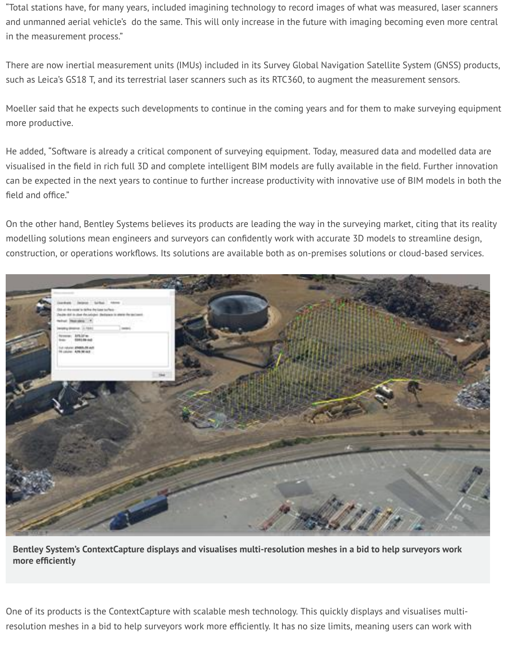"Total stations have, for many years, included imagining technology to record images of what was measured, laser scanners and unmanned aerial vehicle's do the same. This will only increase in the future with imaging becoming even more central in the measurement process."

There are now inertial measurement units (IMUs) included in its Survey Global Navigation Satellite System (GNSS) products, such as Leica's GS18 T, and its terrestrial laser scanners such as its RTC360, to augment the measurement sensors.

Moeller said that he expects such developments to continue in the coming years and for them to make surveying equipment more productive.

He added, "Software is already a critical component of surveying equipment. Today, measured data and modelled data are visualised in the field in rich full 3D and complete intelligent BIM models are fully available in the field. Further innovation can be expected in the next years to continue to further increase productivity with innovative use of BIM models in both the field and office."

On the other hand, Bentley Systems believes its products are leading the way in the surveying market, citing that its reality modelling solutions mean engineers and surveyors can confidently work with accurate 3D models to streamline design, construction, or operations workflows. Its solutions are available both as on-premises solutions or cloud-based services.



**Bentley System's ContextCapture displays and visualises multi-resolution meshes in a bid to help surveyors work more** efficiently

One of its products is the ContextCapture with scalable mesh technology. This quickly displays and visualises multiresolution meshes in a bid to help surveyors work more efficiently. It has no size limits, meaning users can work with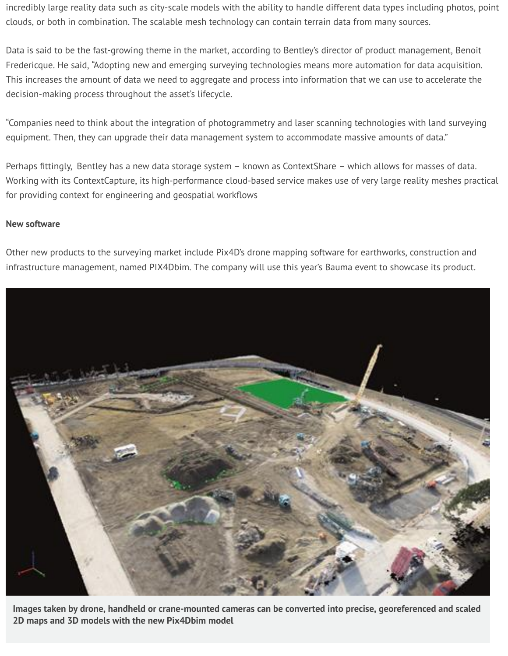incredibly large reality data such as city-scale models with the ability to handle different data types including photos, point clouds, or both in combination. The scalable mesh technology can contain terrain data from many sources.

Data is said to be the fast-growing theme in the market, according to Bentley's director of product management, Benoit Fredericque. He said, "Adopting new and emerging surveying technologies means more automation for data acquisition. This increases the amount of data we need to aggregate and process into information that we can use to accelerate the decision-making process throughout the asset's lifecycle.

"Companies need to think about the integration of photogrammetry and laser scanning technologies with land surveying equipment. Then, they can upgrade their data management system to accommodate massive amounts of data."

Perhaps fittingly, Bentley has a new data storage system - known as ContextShare - which allows for masses of data. Working with its ContextCapture, its high-performance cloud-based service makes use of very large reality meshes practical for providing context for engineering and geospatial workflows

### **New software**

Other new products to the surveying market include Pix4D's drone mapping software for earthworks, construction and infrastructure management, named PIX4Dbim. The company will use this year's Bauma event to showcase its product.



**Images taken by drone, handheld or crane-mounted cameras can be converted into precise, georeferenced and scaled 2D maps and 3D models with the new Pix4Dbim model**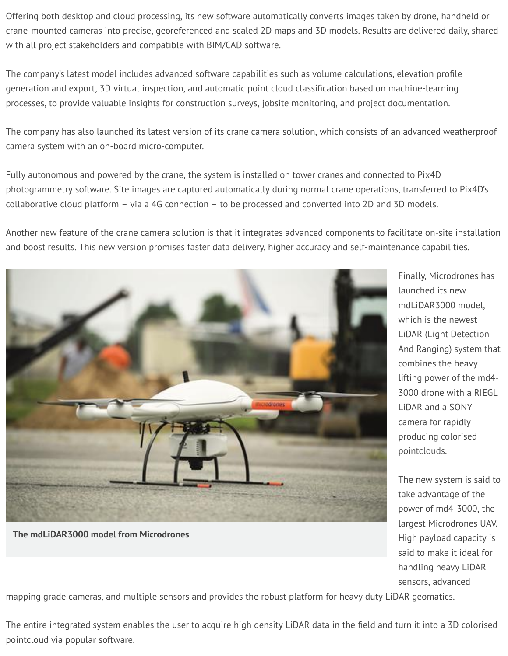Offering both desktop and cloud processing, its new software automatically converts images taken by drone, handheld or crane-mounted cameras into precise, georeferenced and scaled 2D maps and 3D models. Results are delivered daily, shared with all project stakeholders and compatible with BIM/CAD software.

The company's latest model includes advanced software capabilities such as volume calculations, elevation profile generation and export, 3D virtual inspection, and automatic point cloud classification based on machine-learning processes, to provide valuable insights for construction surveys, jobsite monitoring, and project documentation.

The company has also launched its latest version of its crane camera solution, which consists of an advanced weatherproof camera system with an on-board micro-computer.

Fully autonomous and powered by the crane, the system is installed on tower cranes and connected to Pix4D photogrammetry software. Site images are captured automatically during normal crane operations, transferred to Pix4D's collaborative cloud platform – via a 4G connection – to be processed and converted into 2D and 3D models.

Another new feature of the crane camera solution is that it integrates advanced components to facilitate on-site installation and boost results. This new version promises faster data delivery, higher accuracy and self-maintenance capabilities.



**The mdLiDAR3000 model from Microdrones**

Finally, Microdrones has launched its new mdLiDAR3000 model which is the newest LiDAR (Light Detection And Ranging) system that combines the heavy lifting power of the md4- 3000 drone with a RIEGL LiDAR and a SONY camera for rapidly producing colorised pointclouds.

The new system is said to take advantage of the power of md4-3000, the largest Microdrones UAV. High payload capacity is said to make it ideal for handling heavy LiDAR sensors, advanced

mapping grade cameras, and multiple sensors and provides the robust platform for heavy duty LiDAR geomatics.

The entire integrated system enables the user to acquire high density LiDAR data in the field and turn it into a 3D colorised pointcloud via popular software.